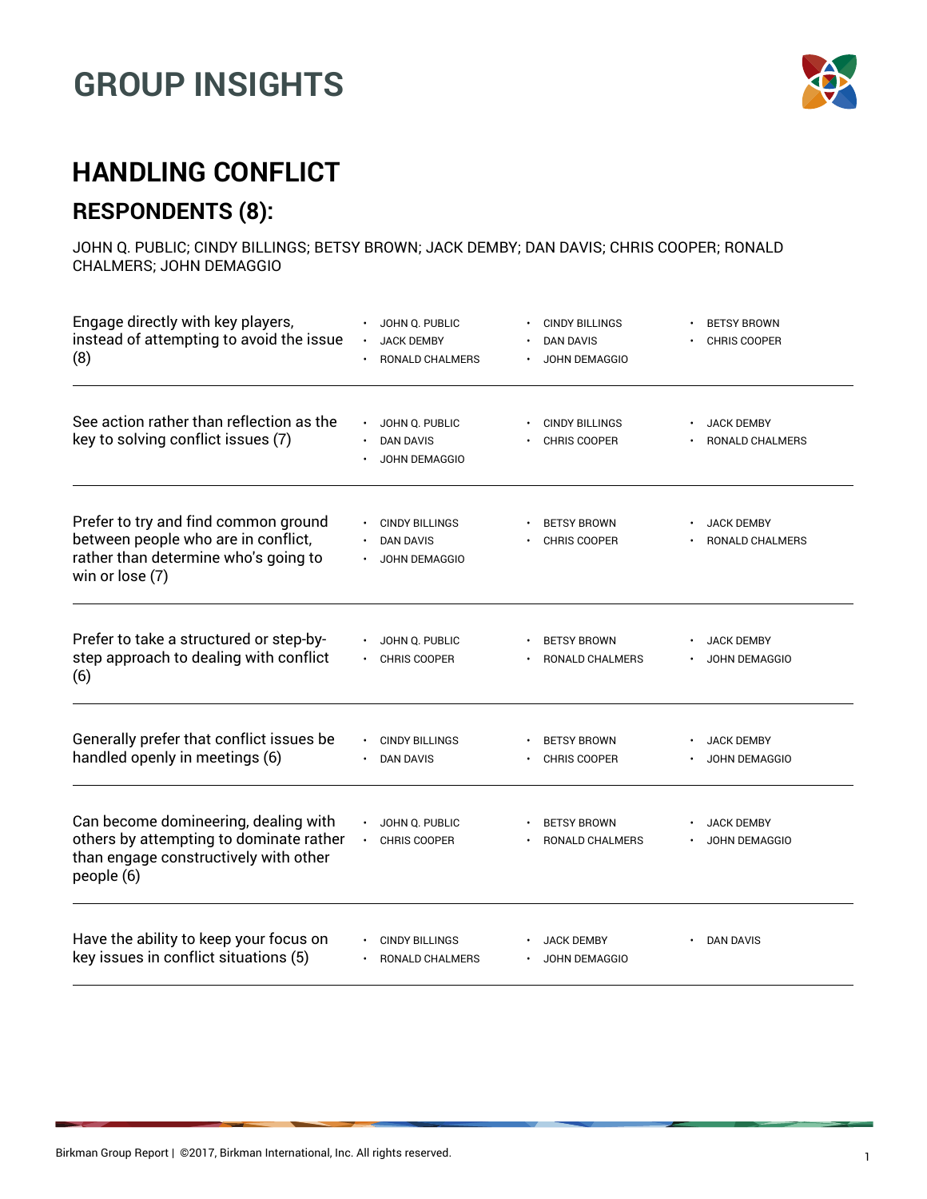

### **HANDLING CONFLICT RESPONDENTS (8):**

JOHN Q. PUBLIC; CINDY BILLINGS; BETSY BROWN; JACK DEMBY; DAN DAVIS; CHRIS COOPER; RONALD CHALMERS; JOHN DEMAGGIO

| Engage directly with key players,<br>instead of attempting to avoid the issue<br>(8)                                                   | JOHN Q. PUBLIC<br><b>JACK DEMBY</b><br><b>RONALD CHALMERS</b> | <b>CINDY BILLINGS</b><br><b>DAN DAVIS</b><br><b>JOHN DEMAGGIO</b> | <b>BETSY BROWN</b><br>CHRIS COOPER        |
|----------------------------------------------------------------------------------------------------------------------------------------|---------------------------------------------------------------|-------------------------------------------------------------------|-------------------------------------------|
| See action rather than reflection as the<br>key to solving conflict issues (7)                                                         | JOHN Q. PUBLIC<br><b>DAN DAVIS</b><br>JOHN DEMAGGIO           | <b>CINDY BILLINGS</b><br><b>CHRIS COOPER</b>                      | <b>JACK DEMBY</b><br>RONALD CHALMERS      |
| Prefer to try and find common ground<br>between people who are in conflict,<br>rather than determine who's going to<br>win or lose (7) | <b>CINDY BILLINGS</b><br><b>DAN DAVIS</b><br>JOHN DEMAGGIO    | <b>BETSY BROWN</b><br><b>CHRIS COOPER</b>                         | <b>JACK DEMBY</b><br>RONALD CHALMERS      |
| Prefer to take a structured or step-by-<br>step approach to dealing with conflict<br>(6)                                               | JOHN Q. PUBLIC<br>CHRIS COOPER                                | <b>BETSY BROWN</b><br>RONALD CHALMERS                             | <b>JACK DEMBY</b><br>JOHN DEMAGGIO        |
| Generally prefer that conflict issues be<br>handled openly in meetings (6)                                                             | <b>CINDY BILLINGS</b><br><b>DAN DAVIS</b>                     | <b>BETSY BROWN</b><br><b>CHRIS COOPER</b>                         | <b>JACK DEMBY</b><br>JOHN DEMAGGIO        |
| Can become domineering, dealing with<br>others by attempting to dominate rather<br>than engage constructively with other<br>people (6) | JOHN Q. PUBLIC<br><b>CHRIS COOPER</b>                         | <b>BETSY BROWN</b><br><b>RONALD CHALMERS</b>                      | <b>JACK DEMBY</b><br><b>JOHN DEMAGGIO</b> |
| Have the ability to keep your focus on<br>key issues in conflict situations (5)                                                        | <b>CINDY BILLINGS</b><br>RONALD CHALMERS                      | <b>JACK DEMBY</b><br>JOHN DEMAGGIO                                | <b>DAN DAVIS</b>                          |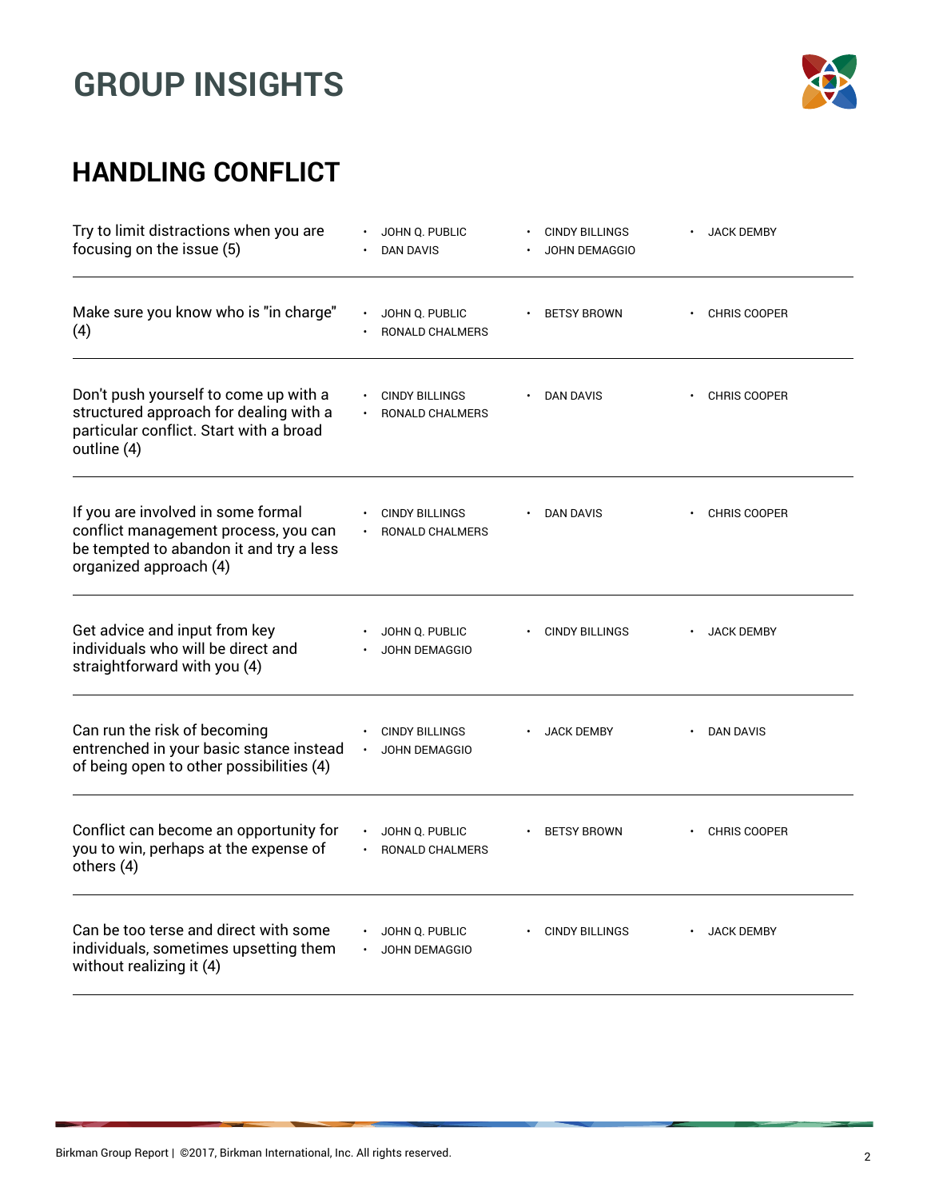

| Try to limit distractions when you are<br>focusing on the issue (5)                                                                             | JOHN Q. PUBLIC<br><b>DAN DAVIS</b>       | <b>CINDY BILLINGS</b><br>JOHN DEMAGGIO | <b>JACK DEMBY</b>   |
|-------------------------------------------------------------------------------------------------------------------------------------------------|------------------------------------------|----------------------------------------|---------------------|
| Make sure you know who is "in charge"<br>(4)                                                                                                    | JOHN Q. PUBLIC<br>RONALD CHALMERS        | <b>BETSY BROWN</b>                     | <b>CHRIS COOPER</b> |
| Don't push yourself to come up with a<br>structured approach for dealing with a<br>particular conflict. Start with a broad<br>outline (4)       | <b>CINDY BILLINGS</b><br>RONALD CHALMERS | <b>DAN DAVIS</b>                       | <b>CHRIS COOPER</b> |
| If you are involved in some formal<br>conflict management process, you can<br>be tempted to abandon it and try a less<br>organized approach (4) | <b>CINDY BILLINGS</b><br>RONALD CHALMERS | <b>DAN DAVIS</b>                       | <b>CHRIS COOPER</b> |
| Get advice and input from key<br>individuals who will be direct and<br>straightforward with you (4)                                             | JOHN Q. PUBLIC<br><b>JOHN DEMAGGIO</b>   | <b>CINDY BILLINGS</b>                  | <b>JACK DEMBY</b>   |
| Can run the risk of becoming<br>entrenched in your basic stance instead<br>of being open to other possibilities (4)                             | <b>CINDY BILLINGS</b><br>JOHN DEMAGGIO   | <b>JACK DEMBY</b>                      | <b>DAN DAVIS</b>    |
| Conflict can become an opportunity for<br>you to win, perhaps at the expense of<br>others (4)                                                   | JOHN Q. PUBLIC<br>RONALD CHALMERS        | <b>BETSY BROWN</b>                     | <b>CHRIS COOPER</b> |
| Can be too terse and direct with some<br>individuals, sometimes upsetting them<br>without realizing it (4)                                      | JOHN Q. PUBLIC<br><b>JOHN DEMAGGIO</b>   | <b>CINDY BILLINGS</b>                  | <b>JACK DEMBY</b>   |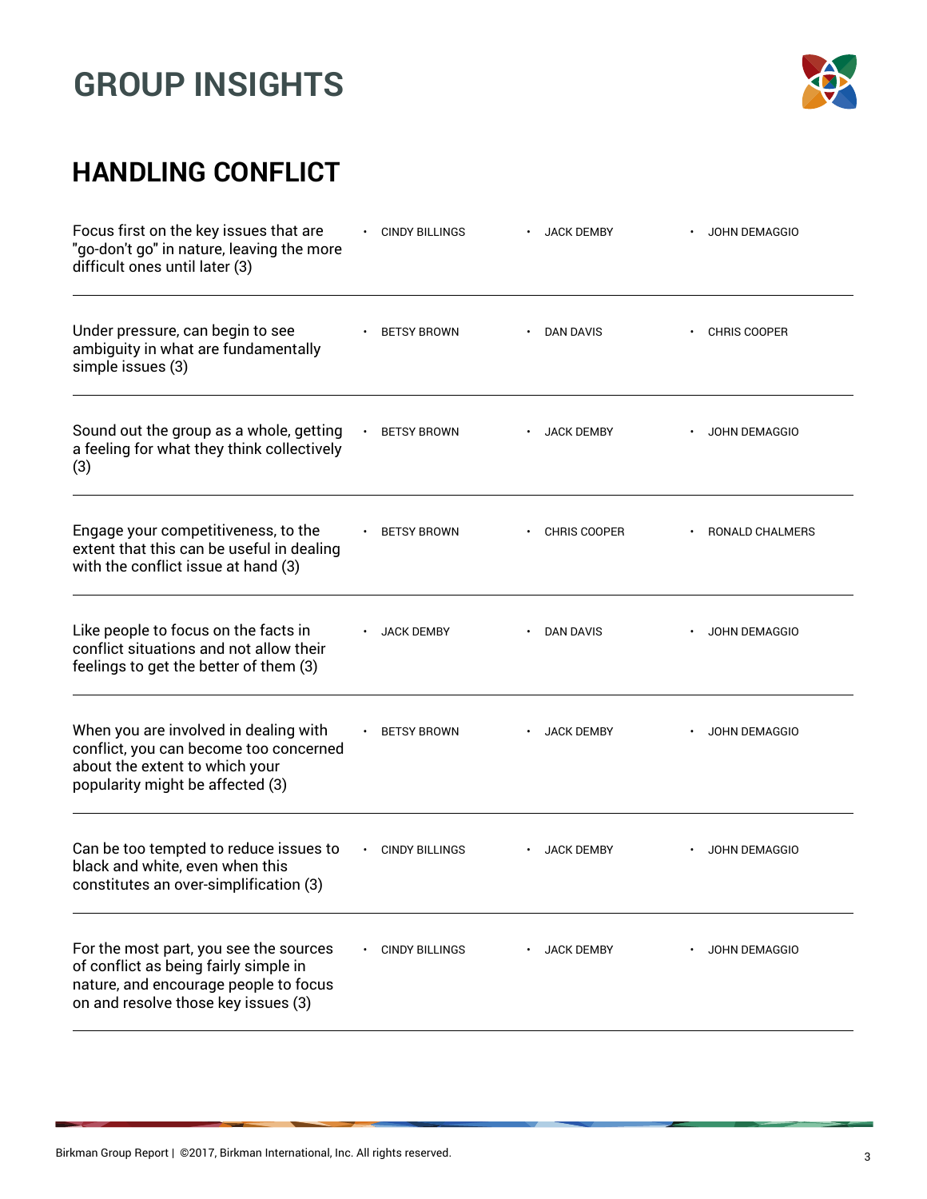

| Focus first on the key issues that are<br>"go-don't go" in nature, leaving the more<br>difficult ones until later (3)                                           | <b>CINDY BILLINGS</b> | <b>JACK DEMBY</b>   | <b>JOHN DEMAGGIO</b> |
|-----------------------------------------------------------------------------------------------------------------------------------------------------------------|-----------------------|---------------------|----------------------|
| Under pressure, can begin to see<br>ambiguity in what are fundamentally<br>simple issues (3)                                                                    | <b>BETSY BROWN</b>    | <b>DAN DAVIS</b>    | <b>CHRIS COOPER</b>  |
| Sound out the group as a whole, getting<br>a feeling for what they think collectively<br>(3)                                                                    | <b>BETSY BROWN</b>    | <b>JACK DEMBY</b>   | <b>JOHN DEMAGGIO</b> |
| Engage your competitiveness, to the<br>extent that this can be useful in dealing<br>with the conflict issue at hand (3)                                         | <b>BETSY BROWN</b>    | <b>CHRIS COOPER</b> | RONALD CHALMERS      |
| Like people to focus on the facts in<br>conflict situations and not allow their<br>feelings to get the better of them (3)                                       | <b>JACK DEMBY</b>     | <b>DAN DAVIS</b>    | <b>JOHN DEMAGGIO</b> |
| When you are involved in dealing with<br>conflict, you can become too concerned<br>about the extent to which your<br>popularity might be affected (3)           | <b>BETSY BROWN</b>    | <b>JACK DEMBY</b>   | <b>JOHN DEMAGGIO</b> |
| Can be too tempted to reduce issues to<br>black and white, even when this<br>constitutes an over-simplification (3)                                             | <b>CINDY BILLINGS</b> | <b>JACK DEMBY</b>   | <b>JOHN DEMAGGIO</b> |
| For the most part, you see the sources<br>of conflict as being fairly simple in<br>nature, and encourage people to focus<br>on and resolve those key issues (3) | <b>CINDY BILLINGS</b> | <b>JACK DEMBY</b>   | <b>JOHN DEMAGGIO</b> |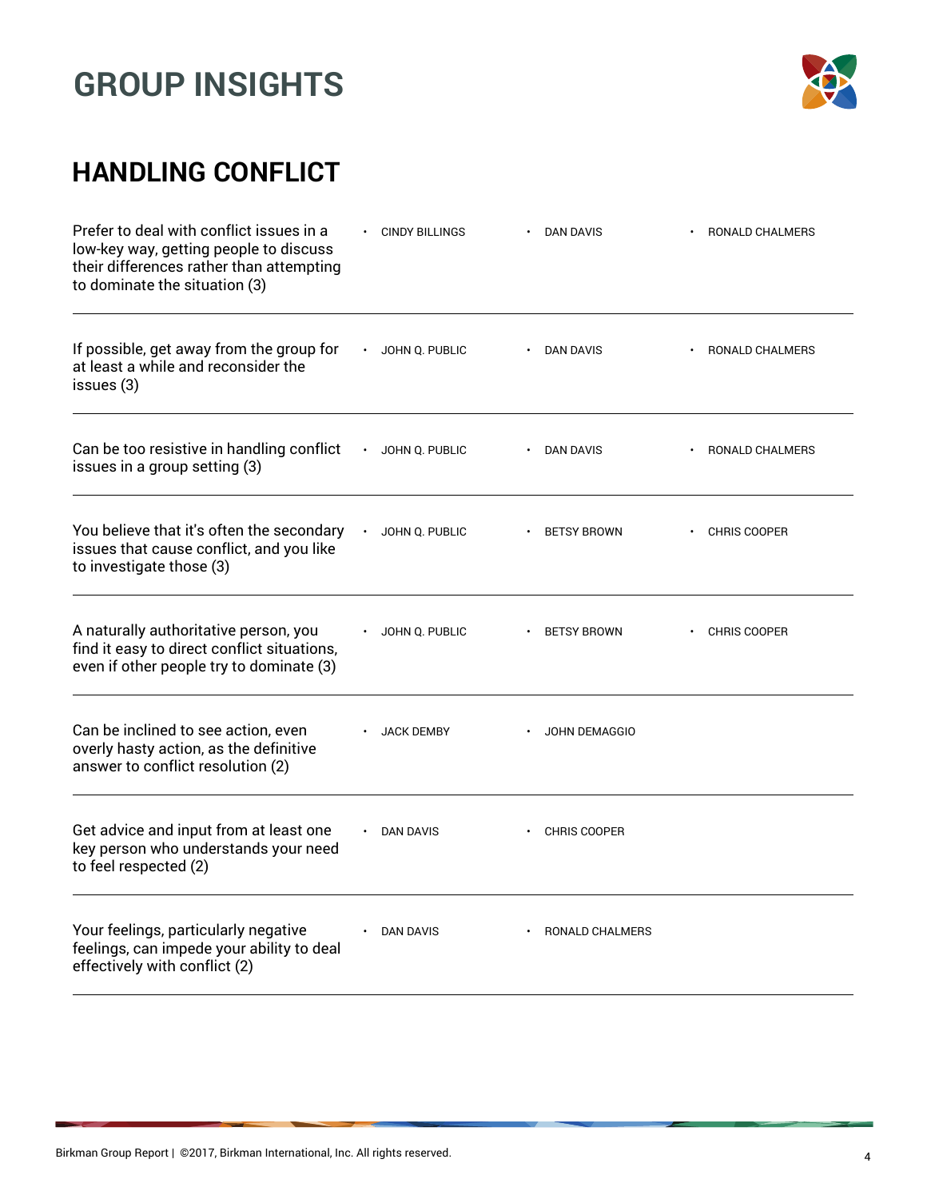

| Prefer to deal with conflict issues in a<br>low-key way, getting people to discuss<br>their differences rather than attempting<br>to dominate the situation (3) | <b>CINDY BILLINGS</b> | <b>DAN DAVIS</b>     | <b>RONALD CHALMERS</b> |
|-----------------------------------------------------------------------------------------------------------------------------------------------------------------|-----------------------|----------------------|------------------------|
| If possible, get away from the group for<br>at least a while and reconsider the<br>issues (3)                                                                   | JOHN Q. PUBLIC        | <b>DAN DAVIS</b>     | RONALD CHALMERS        |
| Can be too resistive in handling conflict<br>issues in a group setting (3)                                                                                      | JOHN Q. PUBLIC        | <b>DAN DAVIS</b>     | RONALD CHALMERS        |
| You believe that it's often the secondary<br>issues that cause conflict, and you like<br>to investigate those (3)                                               | JOHN Q. PUBLIC        | <b>BETSY BROWN</b>   | <b>CHRIS COOPER</b>    |
| A naturally authoritative person, you<br>find it easy to direct conflict situations,<br>even if other people try to dominate (3)                                | JOHN Q. PUBLIC        | <b>BETSY BROWN</b>   | <b>CHRIS COOPER</b>    |
| Can be inclined to see action, even<br>overly hasty action, as the definitive<br>answer to conflict resolution (2)                                              | <b>JACK DEMBY</b>     | <b>JOHN DEMAGGIO</b> |                        |
| Get advice and input from at least one<br>key person who understands your need<br>to feel respected (2)                                                         | <b>DAN DAVIS</b>      | <b>CHRIS COOPER</b>  |                        |
| Your feelings, particularly negative<br>feelings, can impede your ability to deal<br>effectively with conflict (2)                                              | DAN DAVIS             | RONALD CHALMERS      |                        |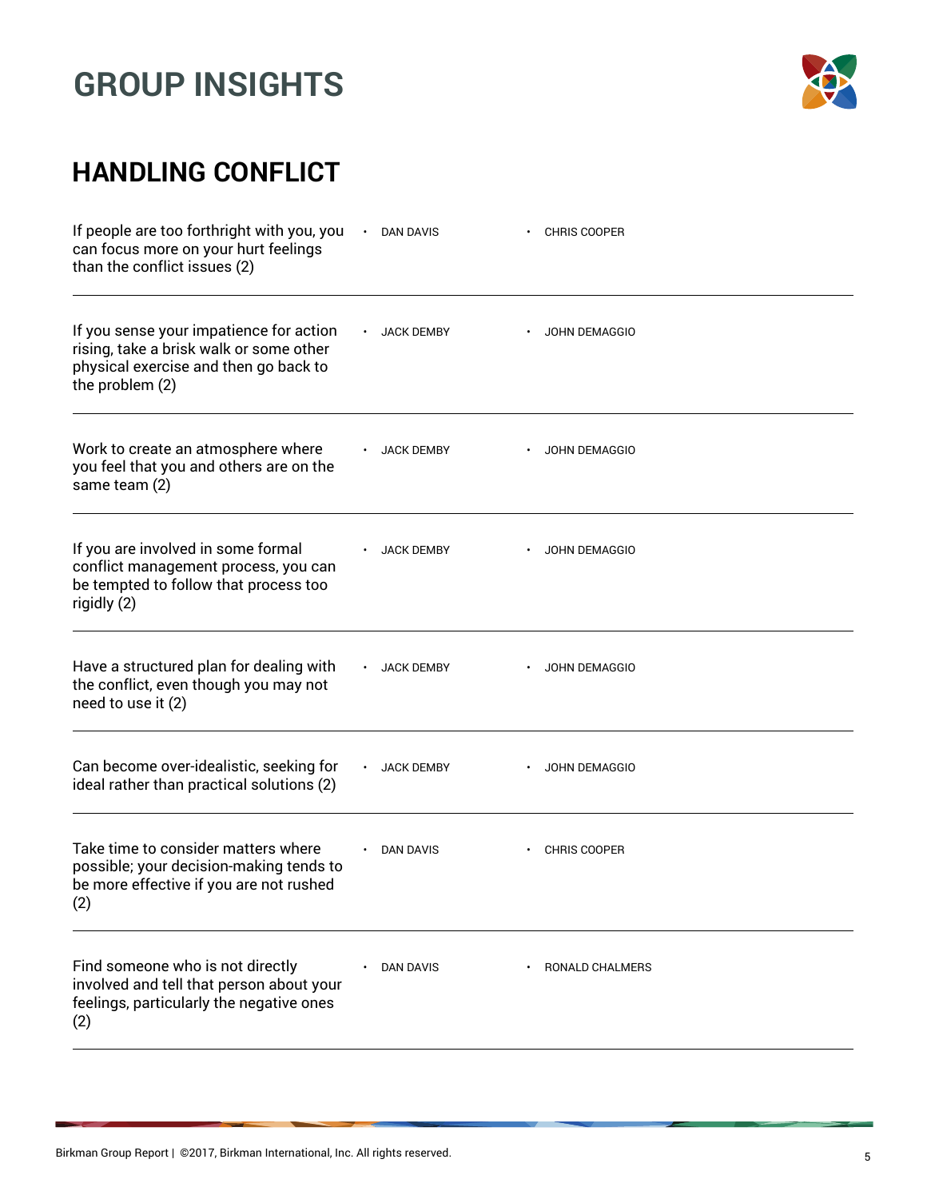

| If people are too forthright with you, you<br>can focus more on your hurt feelings<br>than the conflict issues (2)                             | <b>DAN DAVIS</b>  | CHRIS COOPER         |  |
|------------------------------------------------------------------------------------------------------------------------------------------------|-------------------|----------------------|--|
| If you sense your impatience for action<br>rising, take a brisk walk or some other<br>physical exercise and then go back to<br>the problem (2) | <b>JACK DEMBY</b> | <b>JOHN DEMAGGIO</b> |  |
| Work to create an atmosphere where<br>you feel that you and others are on the<br>same team (2)                                                 | <b>JACK DEMBY</b> | <b>JOHN DEMAGGIO</b> |  |
| If you are involved in some formal<br>conflict management process, you can<br>be tempted to follow that process too<br>rigidly (2)             | <b>JACK DEMBY</b> | <b>JOHN DEMAGGIO</b> |  |
| Have a structured plan for dealing with<br>the conflict, even though you may not<br>need to use it (2)                                         | <b>JACK DEMBY</b> | <b>JOHN DEMAGGIO</b> |  |
| Can become over-idealistic, seeking for<br>ideal rather than practical solutions (2)                                                           | <b>JACK DEMBY</b> | <b>JOHN DEMAGGIO</b> |  |
| Take time to consider matters where<br>possible; your decision-making tends to<br>be more effective if you are not rushed<br>(2)               | <b>DAN DAVIS</b>  | <b>CHRIS COOPER</b>  |  |
| Find someone who is not directly<br>involved and tell that person about your<br>feelings, particularly the negative ones<br>(2)                | <b>DAN DAVIS</b>  | RONALD CHALMERS      |  |